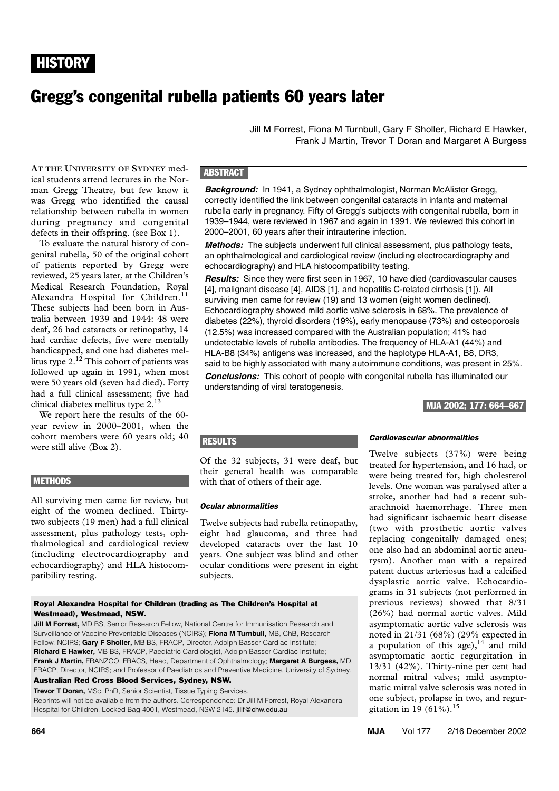# Gregg's congenital rubella patients 60 years later

man Gregg Theatre, each rew rate with mas eregg who harmined are causar during pregnancy and congenital ng pregnancy and congenitar defects in their offspring. (see Box 1). **AT THE UNIVERSITY OF SYDNEY** medical students attend lectures in the Norman Gregg Theatre, but few know it

To evaluate the natural history of congenital rubella, 50 of the original cohort of patients reported by Gregg were reviewed, 25 years later, at the Children's Medical Research Foundation, Royal Alexandra Hospital for Children.<sup>11</sup> These subjects had been born in Australia between 1939 and 1944: 48 were deaf, 26 had cataracts or retinopathy, 14 had cardiac defects, five were mentally handicapped, and one had diabetes mellitus type  $2^{12}$ . This cohort of patients was followed up again in 1991, when most were 50 years old (seven had died). Forty had a full clinical assessment; five had clinical diabetes mellitus type 2.<sup>13</sup>

We report here the results of the 60 year review in 2000–2001, when the cohort members were 60 years old; 40 were still alive (Box 2).

# METHODS

All surviving men came for review, but eight of the women declined. Thirtytwo subjects (19 men) had a full clinical assessment, plus pathology tests, ophthalmological and cardiological review (including electrocardiography and echocardiography) and HLA histocompatibility testing.

Royal Alexandra Hospital for Children (trading as The Children's Hospital at Westmead), Westmead, NSW.

**Jill M Forrest,** MD BS, Senior Research Fellow, National Centre for Immunisation Research and Surveillance of Vaccine Preventable Diseases (NCIRS); **Fiona M Turnbull,** MB, ChB, Research Fellow, NCIRS; **Gary F Sholler,** MB BS, FRACP, Director, Adolph Basser Cardiac Institute; **Richard E Hawker,** MB BS, FRACP, Paediatric Cardiologist, Adolph Basser Cardiac Institute; **Frank J Martin,** FRANZCO, FRACS, Head, Department of Ophthalmology; **Margaret A Burgess,** MD, FRACP, Director, NCIRS; and Professor of Paediatrics and Preventive Medicine, University of Sydney.

Australian Red Cross Blood Services, Sydney, NSW.

**Trevor T Doran,** MSc, PhD, Senior Scientist, Tissue Typing Services. Reprints will not be available from the authors. Correspondence: Dr Jill M Forrest, Royal Alexandra Hospital for Children, Locked Bag 4001, Westmead, NSW 2145. jillf@chw.edu.au

Jill M Forrest, Fiona M Turnbull, Gary F Sholler, Richard E Hawker, Frank J Martin, Trevor T Doran and Margaret A Burgess

# **ABSTRACT**

*Background:* In 1941, a Sydney ophthalmologist, Norman McAlister Gregg, correctly identified the link between congenital cataracts in infants and maternal rubella early in pregnancy. Fifty of Gregg's subjects with congenital rubella, born in 1939–1944, were reviewed in 1967 and again in 1991. We reviewed this cohort in 2000–2001, 60 years after their intrauterine infection.

*Methods:* The subjects underwent full clinical assessment, plus pathology tests, an ophthalmological and cardiological review (including electrocardiography and echocardiography) and HLA histocompatibility testing.

*Results:* Since they were first seen in 1967, 10 have died (cardiovascular causes [4], malignant disease [4], AIDS [1], and hepatitis C-related cirrhosis [1]). All surviving men came for review (19) and 13 women (eight women declined). Echocardiography showed mild aortic valve sclerosis in 68%. The prevalence of diabetes (22%), thyroid disorders (19%), early menopause (73%) and osteoporosis (12.5%) was increased compared with the Australian population; 41% had undetectable levels of rubella antibodies. The frequency of HLA-A1 (44%) and HLA-B8 (34%) antigens was increased, and the haplotype HLA-A1, B8, DR3, said to be highly associated with many autoimmune conditions, was present in 25%. *Conclusions:* This cohort of people with congenital rubella has illuminated our understanding of viral teratogenesis.

# MJA 2002; 177: 664–667

## **RESULTS**

Of the 32 subjects, 31 were deaf, but their general health was comparable with that of others of their age.

#### *Ocular abnormalities*

Twelve subjects had rubella retinopathy, eight had glaucoma, and three had developed cataracts over the last 10 years. One subject was blind and other ocular conditions were present in eight subjects.

#### *Cardiovascular abnormalities*

Twelve subjects (37%) were being treated for hypertension, and 16 had, or were being treated for, high cholesterol levels. One woman was paralysed after a stroke, another had had a recent subarachnoid haemorrhage. Three men had significant ischaemic heart disease (two with prosthetic aortic valves replacing congenitally damaged ones; one also had an abdominal aortic aneurysm). Another man with a repaired patent ductus arteriosus had a calcified dysplastic aortic valve. Echocardiograms in 31 subjects (not performed in previous reviews) showed that 8/31 (26%) had normal aortic valves. Mild asymptomatic aortic valve sclerosis was noted in 21/31 (68%) (29% expected in a population of this age),  $14$  and mild asymptomatic aortic regurgitation in 13/31 (42%). Thirty-nine per cent had normal mitral valves; mild asymptomatic mitral valve sclerosis was noted in one subject, prolapse in two, and regurgitation in 19 (61%).<sup>15</sup>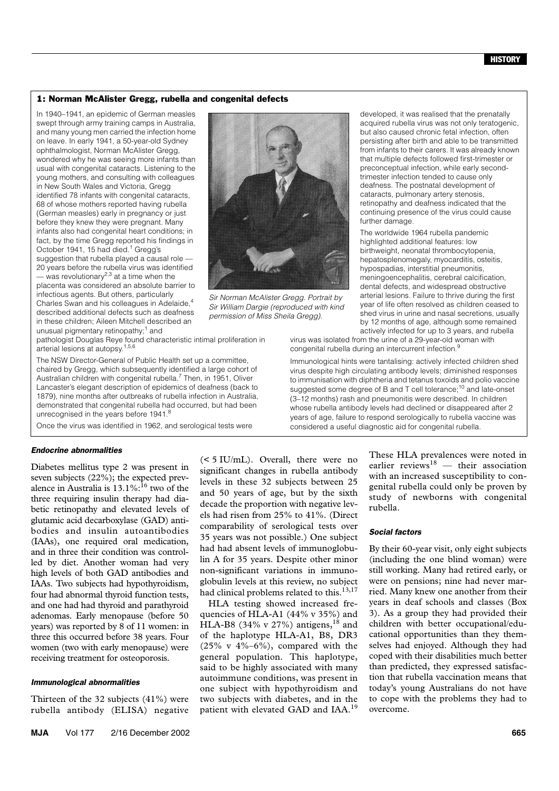#### 1: Norman McAlister Gregg, rubella and congenital defects

In 1940–1941, an epidemic of German measles swept through army training camps in Australia, and many young men carried the infection home on leave. In early 1941, a 50-year-old Sydney ophthalmologist, Norman McAlister Gregg, wondered why he was seeing more infants than usual with congenital cataracts. Listening to the young mothers, and consulting with colleagues in New South Wales and Victoria, Gregg identified 78 infants with congenital cataracts, 68 of whose mothers reported having rubella (German measles) early in pregnancy or just before they knew they were pregnant. Many infants also had congenital heart conditions; in fact, by the time Gregg reported his findings in October 1941, 15 had died.<sup>1</sup> Gregg's suggestion that rubella played a causal role — 20 years before the rubella virus was identified - was revolutionarv<sup>2,3</sup> at a time when the

placenta was considered an absolute barrier to infectious agents. But others, particularly Charles Swan and his colleagues in Adelaide,4 described additional defects such as deafness in these children; Aileen Mitchell described an unusual pigmentary retinopathy;<sup>1</sup> and

pathologist Douglas Reye found characteristic intimal proliferation in arterial lesions at autopsy.1,5,6

The NSW Director-General of Public Health set up a committee, chaired by Gregg, which subsequently identified a large cohort of Australian children with congenital rubella.<sup>7</sup> Then, in 1951, Oliver Lancaster's elegant description of epidemics of deafness (back to 1879), nine months after outbreaks of rubella infection in Australia, demonstrated that congenital rubella had occurred, but had been unrecognised in the years before 1941.<sup>8</sup>

Once the virus was identified in 1962, and serological tests were

## *Endocrine abnormalities*

Diabetes mellitus type 2 was present in seven subjects (22%); the expected prevalence in Australia is  $13.1\%$ :<sup>16</sup> two of the three requiring insulin therapy had diabetic retinopathy and elevated levels of glutamic acid decarboxylase (GAD) antibodies and insulin autoantibodies (IAAs), one required oral medication, and in three their condition was controlled by diet. Another woman had very high levels of both GAD antibodies and IAAs. Two subjects had hypothyroidism, four had abnormal thyroid function tests, and one had had thyroid and parathyroid adenomas. Early menopause (before 50 years) was reported by 8 of 11 women: in three this occurred before 38 years. Four women (two with early menopause) were receiving treatment for osteoporosis.

#### *Immunological abnormalities*

Thirteen of the 32 subjects (41%) were rubella antibody (ELISA) negative

(< 5 IU/mL). Overall, there were no significant changes in rubella antibody levels in these 32 subjects between 25 and 50 years of age, but by the sixth decade the proportion with negative levels had risen from 25% to 41%. (Direct comparability of serological tests over 35 years was not possible.) One subject had had absent levels of immunoglobulin A for 35 years. Despite other minor non-significant variations in immunoglobulin levels at this review, no subject had clinical problems related to this.<sup>13,17</sup>

HLA testing showed increased frequencies of HLA-A1 (44% v 35%) and HLA-B8 (34% v 27%) antigens,  $^{18}$  and of the haplotype HLA-A1, B8, DR3  $(25\% \text{ v } 4\% - 6\%)$ , compared with the general population. This haplotype, said to be highly associated with many autoimmune conditions, was present in one subject with hypothyroidism and two subjects with diabetes, and in the patient with elevated GAD and IAA.<sup>19</sup>

developed, it was realised that the prenatally acquired rubella virus was not only teratogenic, but also caused chronic fetal infection, often persisting after birth and able to be transmitted from infants to their carers. It was already known that multiple defects followed first-trimester or preconceptual infection, while early secondtrimester infection tended to cause only deafness. The postnatal development of cataracts, pulmonary artery stenosis, retinopathy and deafness indicated that the continuing presence of the virus could cause further damage.

The worldwide 1964 rubella pandemic highlighted additional features: low birthweight, neonatal thrombocytopenia, hepatosplenomegaly, myocarditis, osteitis, hypospadias, interstitial pneumonitis, meningoencephalitis, cerebral calcification, dental defects, and widespread obstructive arterial lesions. Failure to thrive during the first year of life often resolved as children ceased to shed virus in urine and nasal secretions, usually by 12 months of age, although some remained actively infected for up to 3 years, and rubella

virus was isolated from the urine of a 29-year-old woman with congenital rubella during an intercurrent infection.<sup>9</sup>

Immunological hints were tantalising: actively infected children shed virus despite high circulating antibody levels; diminished responses to immunisation with diphtheria and tetanus toxoids and polio vaccine suggested some degree of B and T cell tolerance;<sup>10</sup> and late-onset (3–12 months) rash and pneumonitis were described. In children whose rubella antibody levels had declined or disappeared after 2 years of age, failure to respond serologically to rubella vaccine was considered a useful diagnostic aid for congenital rubella.

> These HLA prevalences were noted in earlier reviews $18$  — their association with an increased susceptibility to congenital rubella could only be proven by study of newborns with congenital rubella.

#### *Social factors*

By their 60-year visit, only eight subjects (including the one blind woman) were still working. Many had retired early, or were on pensions; nine had never married. Many knew one another from their years in deaf schools and classes (Box 3). As a group they had provided their children with better occupational/educational opportunities than they themselves had enjoyed. Although they had coped with their disabilities much better than predicted, they expressed satisfaction that rubella vaccination means that today's young Australians do not have to cope with the problems they had to overcome.



*Sir William Dargie (reproduced with kind permission of Miss Sheila Gregg).*